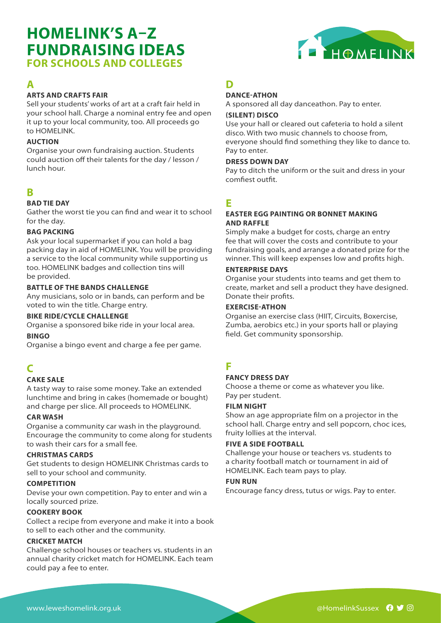# **HOMELINK'S A–Z FUNDRAISING IDEAS FOR SCHOOLS AND COLLEGES**



### **ARTS AND CRAFTS FAIR**

Sell your students' works of art at a craft fair held in your school hall. Charge a nominal entry fee and open it up to your local community, too. All proceeds go to HOMELINK.

#### **AUCTION**

Organise your own fundraising auction. Students could auction off their talents for the day / lesson / lunch hour.

## **B**

#### **BAD TIE DAY**

Gather the worst tie you can find and wear it to school for the day.

#### **BAG PACKING**

Ask your local supermarket if you can hold a bag packing day in aid of HOMELINK. You will be providing a service to the local community while supporting us too. HOMELINK badges and collection tins will be provided.

#### **BATTLE OF THE BANDS CHALLENGE**

Any musicians, solo or in bands, can perform and be voted to win the title. Charge entry.

#### **BIKE RIDE/CYCLE CHALLENGE**

Organise a sponsored bike ride in your local area.

#### **BINGO**

Organise a bingo event and charge a fee per game.

# **C**

#### **CAKE SALE**

A tasty way to raise some money. Take an extended lunchtime and bring in cakes (homemade or bought) and charge per slice. All proceeds to HOMELINK.

#### **CAR WASH**

Organise a community car wash in the playground. Encourage the community to come along for students to wash their cars for a small fee.

#### **CHRISTMAS CARDS**

Get students to design HOMELINK Christmas cards to sell to your school and community.

#### **COMPETITION**

Devise your own competition. Pay to enter and win a locally sourced prize.

#### **COOKERY BOOK**

Collect a recipe from everyone and make it into a book to sell to each other and the community.

#### **CRICKET MATCH**

Challenge school houses or teachers vs. students in an annual charity cricket match for HOMELINK. Each team could pay a fee to enter.

## **D**

#### **DANCE-ATHON**

A sponsored all day danceathon. Pay to enter.

#### **(SILENT) DISCO**

Use your hall or cleared out cafeteria to hold a silent disco. With two music channels to choose from, everyone should find something they like to dance to. Pay to enter.

#### **DRESS DOWN DAY**

Pay to ditch the uniform or the suit and dress in your comfiest outfit.

# **E**

#### **EASTER EGG PAINTING OR BONNET MAKING AND RAFFLE**

Simply make a budget for costs, charge an entry fee that will cover the costs and contribute to your fundraising goals, and arrange a donated prize for the winner. This will keep expenses low and profits high.

#### **ENTERPRISE DAYS**

Organise your students into teams and get them to create, market and sell a product they have designed. Donate their profits.

#### **EXERCISE-ATHON**

Organise an exercise class (HIIT, Circuits, Boxercise, Zumba, aerobics etc.) in your sports hall or playing field. Get community sponsorship.

# **F**

#### **FANCY DRESS DAY**

Choose a theme or come as whatever you like. Pay per student.

#### **FILM NIGHT**

Show an age appropriate film on a projector in the school hall. Charge entry and sell popcorn, choc ices, fruity lollies at the interval.

#### **FIVE A SIDE FOOTBALL**

Challenge your house or teachers vs. students to a charity football match or tournament in aid of HOMELINK. Each team pays to play.

#### **FUN RUN**

Encourage fancy dress, tutus or wigs. Pay to enter.

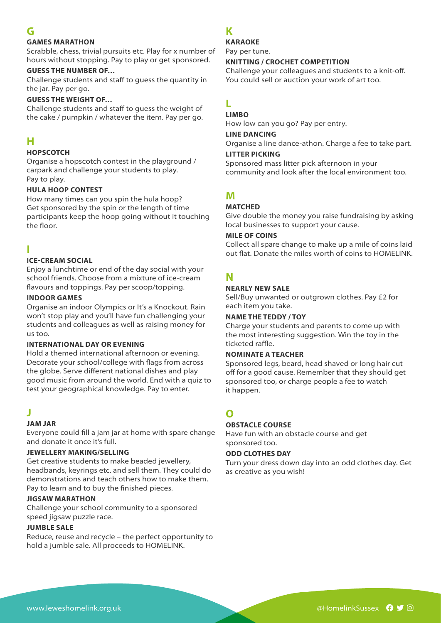## **G**

#### **GAMES MARATHON**

Scrabble, chess, trivial pursuits etc. Play for x number of hours without stopping. Pay to play or get sponsored.

#### **GUESS THE NUMBER OF…**

Challenge students and staff to guess the quantity in the jar. Pay per go.

#### **GUESS THE WEIGHT OF…**

Challenge students and staff to guess the weight of the cake / pumpkin / whatever the item. Pay per go.

## **H**

#### **HOPSCOTCH**

Organise a hopscotch contest in the playground / carpark and challenge your students to play. Pay to play.

#### **HULA HOOP CONTEST**

How many times can you spin the hula hoop? Get sponsored by the spin or the length of time participants keep the hoop going without it touching the floor.

## **I**

#### **ICE-CREAM SOCIAL**

Enjoy a lunchtime or end of the day social with your school friends. Choose from a mixture of ice-cream flavours and toppings. Pay per scoop/topping.

#### **INDOOR GAMES**

Organise an indoor Olympics or It's a Knockout. Rain won't stop play and you'll have fun challenging your students and colleagues as well as raising money for us too.

#### **INTERNATIONAL DAY OR EVENING**

Hold a themed international afternoon or evening. Decorate your school/college with flags from across the globe. Serve different national dishes and play good music from around the world. End with a quiz to test your geographical knowledge. Pay to enter.

## **J**

#### **JAM JAR**

Everyone could fill a jam jar at home with spare change and donate it once it's full.

#### **JEWELLERY MAKING/SELLING**

Get creative students to make beaded jewellery, headbands, keyrings etc. and sell them. They could do demonstrations and teach others how to make them. Pay to learn and to buy the finished pieces.

#### **JIGSAW MARATHON**

Challenge your school community to a sponsored speed jigsaw puzzle race.

#### **JUMBLE SALE**

Reduce, reuse and recycle – the perfect opportunity to hold a jumble sale. All proceeds to HOMELINK.

## **K**

#### **KARAOKE**

Pay per tune.

#### **KNITTING / CROCHET COMPETITION**

Challenge your colleagues and students to a knit-off. You could sell or auction your work of art too.

# **L**

#### **LIMBO**

How low can you go? Pay per entry.

#### **LINE DANCING**

Organise a line dance-athon. Charge a fee to take part.

#### **LITTER PICKING**

Sponsored mass litter pick afternoon in your community and look after the local environment too.

## **M**

#### **MATCHED**

Give double the money you raise fundraising by asking local businesses to support your cause.

#### **MILE OF COINS**

Collect all spare change to make up a mile of coins laid out flat. Donate the miles worth of coins to HOMELINK.

## **N**

#### **NEARLY NEW SALE**

Sell/Buy unwanted or outgrown clothes. Pay £2 for each item you take.

#### **NAME THE TEDDY / TOY**

Charge your students and parents to come up with the most interesting suggestion. Win the toy in the ticketed raffle.

#### **NOMINATE A TEACHER**

Sponsored legs, beard, head shaved or long hair cut off for a good cause. Remember that they should get sponsored too, or charge people a fee to watch it happen.

# **O**

#### **OBSTACLE COURSE**

Have fun with an obstacle course and get sponsored too.

#### **ODD CLOTHES DAY**

Turn your dress down day into an odd clothes day. Get as creative as you wish!